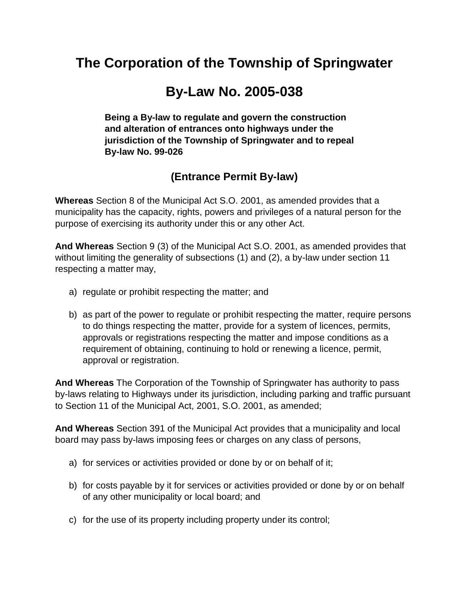# **The Corporation of the Township of Springwater**

# **By-Law No. 2005-038**

**Being a By-law to regulate and govern the construction and alteration of entrances onto highways under the jurisdiction of the Township of Springwater and to repeal By-law No. 99-026** 

# **(Entrance Permit By-law)**

**Whereas** Section 8 of the Municipal Act S.O. 2001, as amended provides that a municipality has the capacity, rights, powers and privileges of a natural person for the purpose of exercising its authority under this or any other Act.

**And Whereas** Section 9 (3) of the Municipal Act S.O. 2001, as amended provides that without limiting the generality of subsections (1) and (2), a by-law under section 11 respecting a matter may,

- a) regulate or prohibit respecting the matter; and
- b) as part of the power to regulate or prohibit respecting the matter, require persons to do things respecting the matter, provide for a system of licences, permits, approvals or registrations respecting the matter and impose conditions as a requirement of obtaining, continuing to hold or renewing a licence, permit, approval or registration.

**And Whereas** The Corporation of the Township of Springwater has authority to pass by-laws relating to Highways under its jurisdiction, including parking and traffic pursuant to Section 11 of the Municipal Act, 2001, S.O. 2001, as amended;

**And Whereas** Section 391 of the Municipal Act provides that a municipality and local board may pass by-laws imposing fees or charges on any class of persons,

- a) for services or activities provided or done by or on behalf of it;
- b) for costs payable by it for services or activities provided or done by or on behalf of any other municipality or local board; and
- c) for the use of its property including property under its control;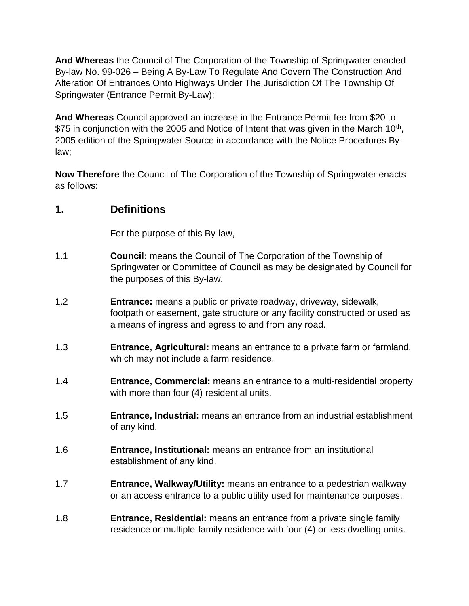**And Whereas** the Council of The Corporation of the Township of Springwater enacted By-law No. 99-026 – Being A By-Law To Regulate And Govern The Construction And Alteration Of Entrances Onto Highways Under The Jurisdiction Of The Township Of Springwater (Entrance Permit By-Law);

**And Whereas** Council approved an increase in the Entrance Permit fee from \$20 to \$75 in conjunction with the 2005 and Notice of Intent that was given in the March 10<sup>th</sup>, 2005 edition of the Springwater Source in accordance with the Notice Procedures Bylaw;

**Now Therefore** the Council of The Corporation of the Township of Springwater enacts as follows:

## **1. Definitions**

For the purpose of this By-law,

- 1.1 **Council:** means the Council of The Corporation of the Township of Springwater or Committee of Council as may be designated by Council for the purposes of this By-law.
- 1.2 **Entrance:** means a public or private roadway, driveway, sidewalk, footpath or easement, gate structure or any facility constructed or used as a means of ingress and egress to and from any road.
- 1.3 **Entrance, Agricultural:** means an entrance to a private farm or farmland, which may not include a farm residence.
- 1.4 **Entrance, Commercial:** means an entrance to a multi-residential property with more than four (4) residential units.
- 1.5 **Entrance, Industrial:** means an entrance from an industrial establishment of any kind.
- 1.6 **Entrance, Institutional:** means an entrance from an institutional establishment of any kind.
- 1.7 **Entrance, Walkway/Utility:** means an entrance to a pedestrian walkway or an access entrance to a public utility used for maintenance purposes.
- 1.8 **Entrance, Residential:** means an entrance from a private single family residence or multiple-family residence with four (4) or less dwelling units.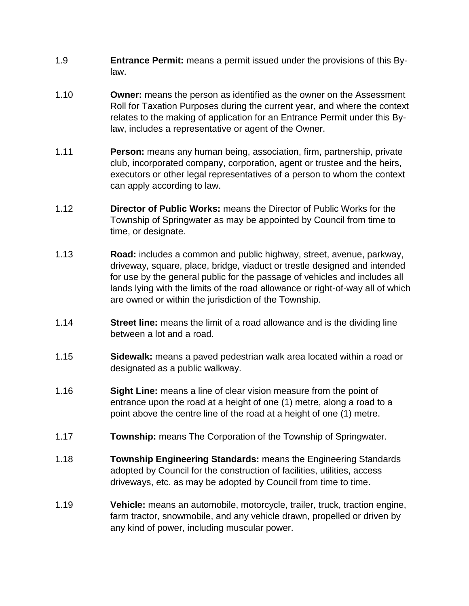- 1.9 **Entrance Permit:** means a permit issued under the provisions of this Bylaw.
- 1.10 **Owner:** means the person as identified as the owner on the Assessment Roll for Taxation Purposes during the current year, and where the context relates to the making of application for an Entrance Permit under this Bylaw, includes a representative or agent of the Owner.
- 1.11 **Person:** means any human being, association, firm, partnership, private club, incorporated company, corporation, agent or trustee and the heirs, executors or other legal representatives of a person to whom the context can apply according to law.
- 1.12 **Director of Public Works:** means the Director of Public Works for the Township of Springwater as may be appointed by Council from time to time, or designate.
- 1.13 **Road:** includes a common and public highway, street, avenue, parkway, driveway, square, place, bridge, viaduct or trestle designed and intended for use by the general public for the passage of vehicles and includes all lands lying with the limits of the road allowance or right-of-way all of which are owned or within the jurisdiction of the Township.
- 1.14 **Street line:** means the limit of a road allowance and is the dividing line between a lot and a road.
- 1.15 **Sidewalk:** means a paved pedestrian walk area located within a road or designated as a public walkway.
- 1.16 **Sight Line:** means a line of clear vision measure from the point of entrance upon the road at a height of one (1) metre, along a road to a point above the centre line of the road at a height of one (1) metre.
- 1.17 **Township:** means The Corporation of the Township of Springwater.
- 1.18 **Township Engineering Standards:** means the Engineering Standards adopted by Council for the construction of facilities, utilities, access driveways, etc. as may be adopted by Council from time to time.
- 1.19 **Vehicle:** means an automobile, motorcycle, trailer, truck, traction engine, farm tractor, snowmobile, and any vehicle drawn, propelled or driven by any kind of power, including muscular power.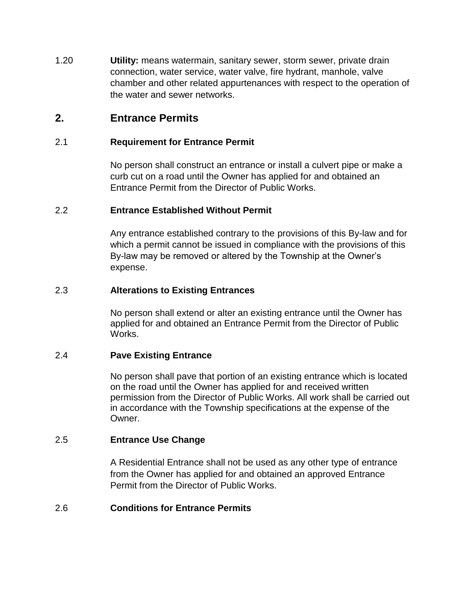1.20 **Utility:** means watermain, sanitary sewer, storm sewer, private drain connection, water service, water valve, fire hydrant, manhole, valve chamber and other related appurtenances with respect to the operation of the water and sewer networks.

## **2. Entrance Permits**

#### 2.1 **Requirement for Entrance Permit**

No person shall construct an entrance or install a culvert pipe or make a curb cut on a road until the Owner has applied for and obtained an Entrance Permit from the Director of Public Works.

#### 2.2 **Entrance Established Without Permit**

Any entrance established contrary to the provisions of this By-law and for which a permit cannot be issued in compliance with the provisions of this By-law may be removed or altered by the Township at the Owner's expense.

### 2.3 **Alterations to Existing Entrances**

No person shall extend or alter an existing entrance until the Owner has applied for and obtained an Entrance Permit from the Director of Public Works.

#### 2.4 **Pave Existing Entrance**

No person shall pave that portion of an existing entrance which is located on the road until the Owner has applied for and received written permission from the Director of Public Works. All work shall be carried out in accordance with the Township specifications at the expense of the Owner.

#### 2.5 **Entrance Use Change**

A Residential Entrance shall not be used as any other type of entrance from the Owner has applied for and obtained an approved Entrance Permit from the Director of Public Works.

#### 2.6 **Conditions for Entrance Permits**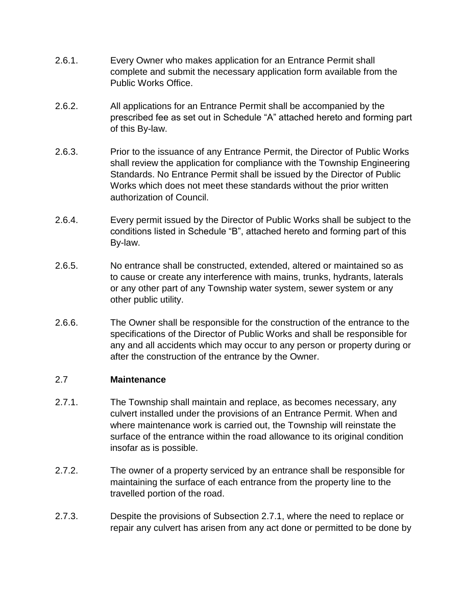- 2.6.1. Every Owner who makes application for an Entrance Permit shall complete and submit the necessary application form available from the Public Works Office.
- 2.6.2. All applications for an Entrance Permit shall be accompanied by the prescribed fee as set out in Schedule "A" attached hereto and forming part of this By-law.
- 2.6.3. Prior to the issuance of any Entrance Permit, the Director of Public Works shall review the application for compliance with the Township Engineering Standards. No Entrance Permit shall be issued by the Director of Public Works which does not meet these standards without the prior written authorization of Council.
- 2.6.4. Every permit issued by the Director of Public Works shall be subject to the conditions listed in Schedule "B", attached hereto and forming part of this By-law.
- 2.6.5. No entrance shall be constructed, extended, altered or maintained so as to cause or create any interference with mains, trunks, hydrants, laterals or any other part of any Township water system, sewer system or any other public utility.
- 2.6.6. The Owner shall be responsible for the construction of the entrance to the specifications of the Director of Public Works and shall be responsible for any and all accidents which may occur to any person or property during or after the construction of the entrance by the Owner.

#### 2.7 **Maintenance**

- 2.7.1. The Township shall maintain and replace, as becomes necessary, any culvert installed under the provisions of an Entrance Permit. When and where maintenance work is carried out, the Township will reinstate the surface of the entrance within the road allowance to its original condition insofar as is possible.
- 2.7.2. The owner of a property serviced by an entrance shall be responsible for maintaining the surface of each entrance from the property line to the travelled portion of the road.
- 2.7.3. Despite the provisions of Subsection 2.7.1, where the need to replace or repair any culvert has arisen from any act done or permitted to be done by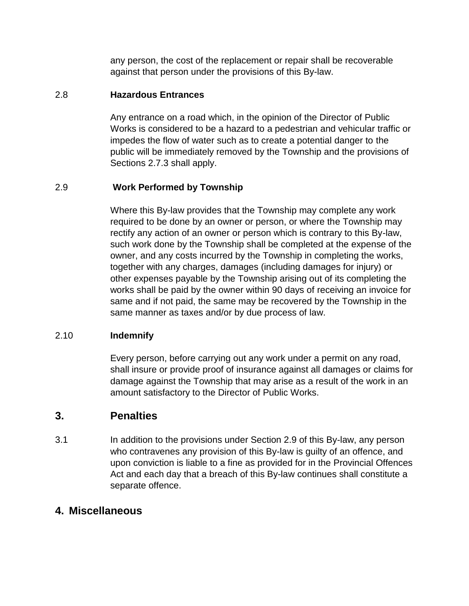any person, the cost of the replacement or repair shall be recoverable against that person under the provisions of this By-law.

### 2.8 **Hazardous Entrances**

Any entrance on a road which, in the opinion of the Director of Public Works is considered to be a hazard to a pedestrian and vehicular traffic or impedes the flow of water such as to create a potential danger to the public will be immediately removed by the Township and the provisions of Sections 2.7.3 shall apply.

## 2.9 **Work Performed by Township**

Where this By-law provides that the Township may complete any work required to be done by an owner or person, or where the Township may rectify any action of an owner or person which is contrary to this By-law, such work done by the Township shall be completed at the expense of the owner, and any costs incurred by the Township in completing the works, together with any charges, damages (including damages for injury) or other expenses payable by the Township arising out of its completing the works shall be paid by the owner within 90 days of receiving an invoice for same and if not paid, the same may be recovered by the Township in the same manner as taxes and/or by due process of law.

## 2.10 **Indemnify**

Every person, before carrying out any work under a permit on any road, shall insure or provide proof of insurance against all damages or claims for damage against the Township that may arise as a result of the work in an amount satisfactory to the Director of Public Works.

## **3. Penalties**

3.1 In addition to the provisions under Section 2.9 of this By-law, any person who contravenes any provision of this By-law is guilty of an offence, and upon conviction is liable to a fine as provided for in the Provincial Offences Act and each day that a breach of this By-law continues shall constitute a separate offence.

## **4. Miscellaneous**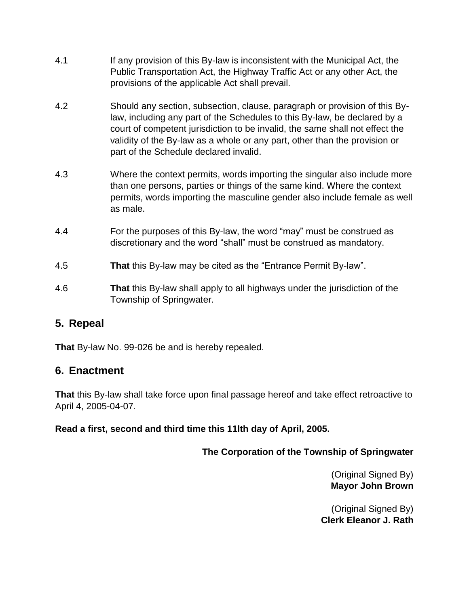- 4.1 If any provision of this By-law is inconsistent with the Municipal Act, the Public Transportation Act, the Highway Traffic Act or any other Act, the provisions of the applicable Act shall prevail.
- 4.2 Should any section, subsection, clause, paragraph or provision of this Bylaw, including any part of the Schedules to this By-law, be declared by a court of competent jurisdiction to be invalid, the same shall not effect the validity of the By-law as a whole or any part, other than the provision or part of the Schedule declared invalid.
- 4.3 Where the context permits, words importing the singular also include more than one persons, parties or things of the same kind. Where the context permits, words importing the masculine gender also include female as well as male.
- 4.4 For the purposes of this By-law, the word "may" must be construed as discretionary and the word "shall" must be construed as mandatory.
- 4.5 **That** this By-law may be cited as the "Entrance Permit By-law".
- 4.6 **That** this By-law shall apply to all highways under the jurisdiction of the Township of Springwater.

# **5. Repeal**

**That** By-law No. 99-026 be and is hereby repealed.

# **6. Enactment**

**That** this By-law shall take force upon final passage hereof and take effect retroactive to April 4, 2005-04-07.

## **Read a first, second and third time this 11lth day of April, 2005.**

**The Corporation of the Township of Springwater**

(Original Signed By) **Mayor John Brown**

(Original Signed By) **Clerk Eleanor J. Rath**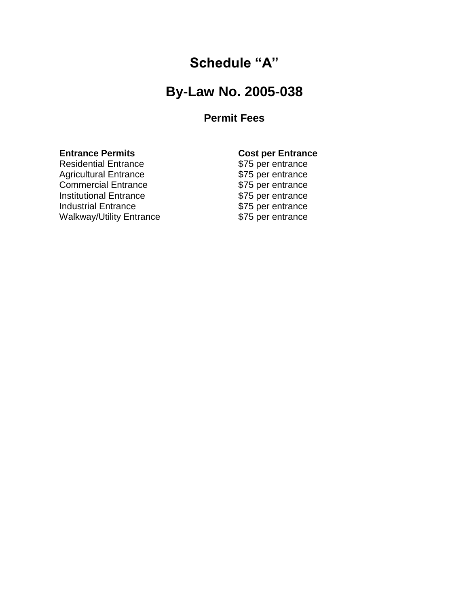# **Schedule "A"**

# **By-Law No. 2005-038**

# **Permit Fees**

**Entrance Permits Cost per Entrance** Residential Entrance **\$75 per entrance**<br>Agricultural Entrance **\$75 per entrance** Agricultural Entrance Commercial Entrance<br>
Institutional Entrance<br>
\$75 per entrance<br>
\$75 per entrance Institutional Entrance<br>
Industrial Entrance<br>  $$75$  per entrance<br>
\$75 per entrance Industrial Entrance<br>
Walkway/Utility Entrance<br>
\$75 per entrance<br>
\$75 per entrance Walkway/Utility Entrance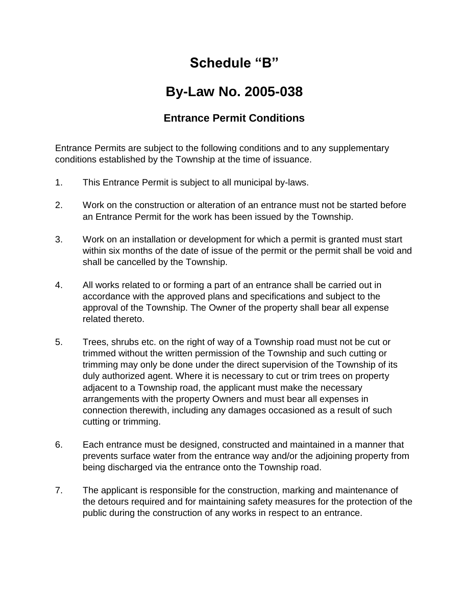# **Schedule "B"**

# **By-Law No. 2005-038**

# **Entrance Permit Conditions**

Entrance Permits are subject to the following conditions and to any supplementary conditions established by the Township at the time of issuance.

- 1. This Entrance Permit is subject to all municipal by-laws.
- 2. Work on the construction or alteration of an entrance must not be started before an Entrance Permit for the work has been issued by the Township.
- 3. Work on an installation or development for which a permit is granted must start within six months of the date of issue of the permit or the permit shall be void and shall be cancelled by the Township.
- 4. All works related to or forming a part of an entrance shall be carried out in accordance with the approved plans and specifications and subject to the approval of the Township. The Owner of the property shall bear all expense related thereto.
- 5. Trees, shrubs etc. on the right of way of a Township road must not be cut or trimmed without the written permission of the Township and such cutting or trimming may only be done under the direct supervision of the Township of its duly authorized agent. Where it is necessary to cut or trim trees on property adjacent to a Township road, the applicant must make the necessary arrangements with the property Owners and must bear all expenses in connection therewith, including any damages occasioned as a result of such cutting or trimming.
- 6. Each entrance must be designed, constructed and maintained in a manner that prevents surface water from the entrance way and/or the adjoining property from being discharged via the entrance onto the Township road.
- 7. The applicant is responsible for the construction, marking and maintenance of the detours required and for maintaining safety measures for the protection of the public during the construction of any works in respect to an entrance.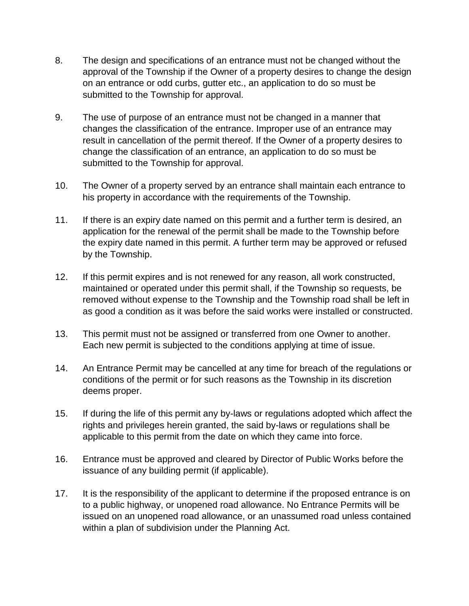- 8. The design and specifications of an entrance must not be changed without the approval of the Township if the Owner of a property desires to change the design on an entrance or odd curbs, gutter etc., an application to do so must be submitted to the Township for approval.
- 9. The use of purpose of an entrance must not be changed in a manner that changes the classification of the entrance. Improper use of an entrance may result in cancellation of the permit thereof. If the Owner of a property desires to change the classification of an entrance, an application to do so must be submitted to the Township for approval.
- 10. The Owner of a property served by an entrance shall maintain each entrance to his property in accordance with the requirements of the Township.
- 11. If there is an expiry date named on this permit and a further term is desired, an application for the renewal of the permit shall be made to the Township before the expiry date named in this permit. A further term may be approved or refused by the Township.
- 12. If this permit expires and is not renewed for any reason, all work constructed, maintained or operated under this permit shall, if the Township so requests, be removed without expense to the Township and the Township road shall be left in as good a condition as it was before the said works were installed or constructed.
- 13. This permit must not be assigned or transferred from one Owner to another. Each new permit is subjected to the conditions applying at time of issue.
- 14. An Entrance Permit may be cancelled at any time for breach of the regulations or conditions of the permit or for such reasons as the Township in its discretion deems proper.
- 15. If during the life of this permit any by-laws or regulations adopted which affect the rights and privileges herein granted, the said by-laws or regulations shall be applicable to this permit from the date on which they came into force.
- 16. Entrance must be approved and cleared by Director of Public Works before the issuance of any building permit (if applicable).
- 17. It is the responsibility of the applicant to determine if the proposed entrance is on to a public highway, or unopened road allowance. No Entrance Permits will be issued on an unopened road allowance, or an unassumed road unless contained within a plan of subdivision under the Planning Act.